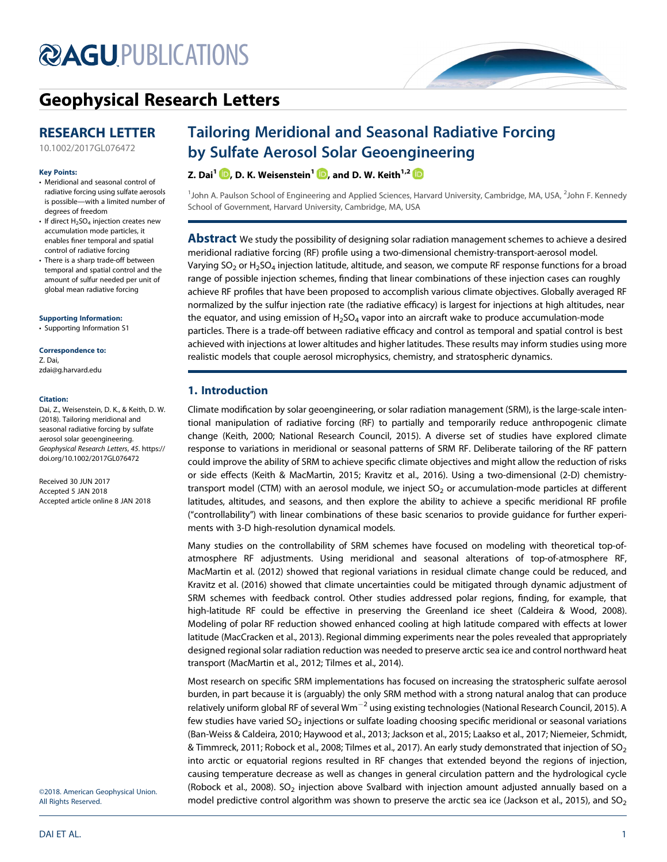# **@AGU[PUBLICATIONS](http://publications.agu.org/journals/)**



# [Geophysical Research Letters](http://onlinelibrary.wiley.com/journal/10.1002/(ISSN)1944-8007)

# RESEARCH LETTER

## Key Points:

- Meridional and seasonal control of radiative forcing using sulfate aerosols is possible—with a limited number of degrees of freedom
- If direct  $H_2SO_4$  injection creates new accumulation mode particles, it enables finer temporal and spatial control of radiative forcing
- There is a sharp trade-off between temporal and spatial control and the amount of sulfur needed per unit of global mean radiative forcing

#### [Supporting Information:](http://dx.doi.org/10.1002/2017GL076472)

[•](http://dx.doi.org/10.1002/2017GL076472) [Supporting Information S1](http://dx.doi.org/10.1002/2017GL076472)

#### Correspondence to:

Z. Dai, [zdai@g.harvard.edu](mailto:zdai@g.harvard.edu)

#### Citation:

Dai, Z., Weisenstein, D. K., & Keith, D. W. (2018). Tailoring meridional and seasonal radiative forcing by sulfate aerosol solar geoengineering. Geophysical Research Letters, 45. [https://](https://doi.org/10.1002/2017GL076472) [doi.org/10.1002/2017GL076472](https://doi.org/10.1002/2017GL076472)

Received 30 JUN 2017 Accepted 5 JAN 2018 Accepted article online 8 JAN 2018

# [10.1002/2017GL076472](http://dx.doi.org/10.1002/2017GL076472)

# Tailoring Meridional and Seasonal Radiative Forcing by Sulfate Aerosol Solar Geoengineering

Z. Dai<sup>1</sup>  $\mathbb{D}$ [,](http://orcid.org/0000-0003-1845-6498) D. K. Weisenstein<sup>1</sup>  $\mathbb{D}$ , and D. W. Keith<sup>1,2</sup>  $\mathbb{D}$ 

<sup>1</sup>John A. Paulson School of Engineering and Applied Sciences, Harvard University, Cambridge, MA, USA, <sup>2</sup>John F. Kennedy School of Government, Harvard University, Cambridge, MA, USA

Abstract We study the possibility of designing solar radiation management schemes to achieve a desired meridional radiative forcing (RF) profile using a two-dimensional chemistry-transport-aerosol model. Varying SO<sub>2</sub> or H<sub>2</sub>SO<sub>4</sub> injection latitude, altitude, and season, we compute RF response functions for a broad range of possible injection schemes, finding that linear combinations of these injection cases can roughly achieve RF profiles that have been proposed to accomplish various climate objectives. Globally averaged RF normalized by the sulfur injection rate (the radiative efficacy) is largest for injections at high altitudes, near the equator, and using emission of  $H_2$ SO<sub>4</sub> vapor into an aircraft wake to produce accumulation-mode particles. There is a trade-off between radiative efficacy and control as temporal and spatial control is best achieved with injections at lower altitudes and higher latitudes. These results may inform studies using more realistic models that couple aerosol microphysics, chemistry, and stratospheric dynamics.

# 1. Introduction

Climate modification by solar geoengineering, or solar radiation management (SRM), is the large-scale intentional manipulation of radiative forcing (RF) to partially and temporarily reduce anthropogenic climate change (Keith, 2000; National Research Council, 2015). A diverse set of studies have explored climate response to variations in meridional or seasonal patterns of SRM RF. Deliberate tailoring of the RF pattern could improve the ability of SRM to achieve specific climate objectives and might allow the reduction of risks or side effects (Keith & MacMartin, 2015; Kravitz et al., 2016). Using a two-dimensional (2-D) chemistrytransport model (CTM) with an aerosol module, we inject  $SO<sub>2</sub>$  or accumulation-mode particles at different latitudes, altitudes, and seasons, and then explore the ability to achieve a specific meridional RF profile ("controllability") with linear combinations of these basic scenarios to provide guidance for further experiments with 3-D high-resolution dynamical models.

Many studies on the controllability of SRM schemes have focused on modeling with theoretical top-ofatmosphere RF adjustments. Using meridional and seasonal alterations of top-of-atmosphere RF, MacMartin et al. (2012) showed that regional variations in residual climate change could be reduced, and Kravitz et al. (2016) showed that climate uncertainties could be mitigated through dynamic adjustment of SRM schemes with feedback control. Other studies addressed polar regions, finding, for example, that high-latitude RF could be effective in preserving the Greenland ice sheet (Caldeira & Wood, 2008). Modeling of polar RF reduction showed enhanced cooling at high latitude compared with effects at lower latitude (MacCracken et al., 2013). Regional dimming experiments near the poles revealed that appropriately designed regional solar radiation reduction was needed to preserve arctic sea ice and control northward heat transport (MacMartin et al., 2012; Tilmes et al., 2014).

Most research on specific SRM implementations has focused on increasing the stratospheric sulfate aerosol burden, in part because it is (arguably) the only SRM method with a strong natural analog that can produce relatively uniform global RF of several Wm<sup>-2</sup> using existing technologies (National Research Council, 2015). A few studies have varied SO<sub>2</sub> injections or sulfate loading choosing specific meridional or seasonal variations (Ban-Weiss & Caldeira, 2010; Haywood et al., 2013; Jackson et al., 2015; Laakso et al., 2017; Niemeier, Schmidt, & Timmreck, 2011; Robock et al., 2008; Tilmes et al., 2017). An early study demonstrated that injection of SO<sub>2</sub> into arctic or equatorial regions resulted in RF changes that extended beyond the regions of injection, causing temperature decrease as well as changes in general circulation pattern and the hydrological cycle (Robock et al., 2008). SO<sub>2</sub> injection above Svalbard with injection amount adjusted annually based on a model predictive control algorithm was shown to preserve the arctic sea ice (Jackson et al., 2015), and  $SO_2$ 

©2018. American Geophysical Union. All Rights Reserved.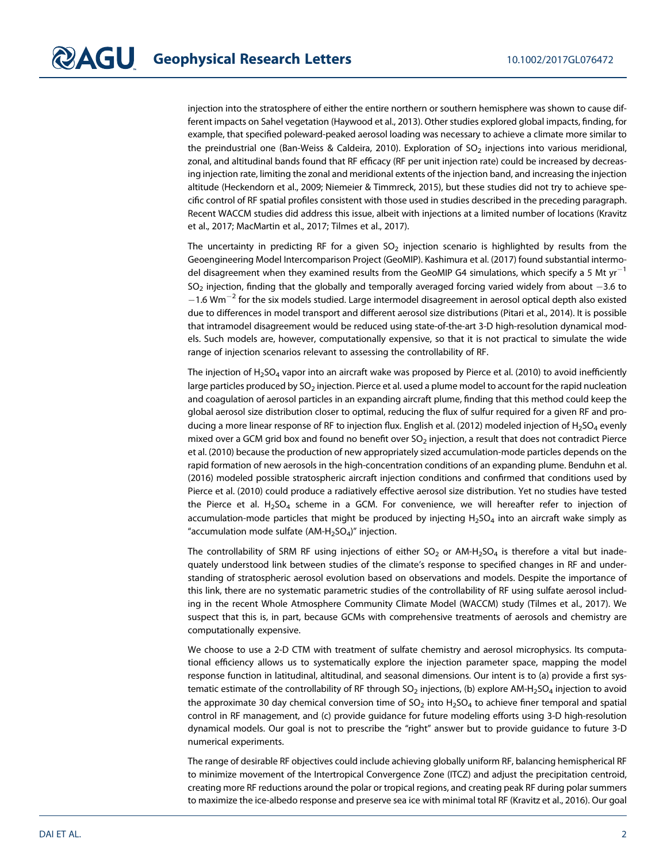injection into the stratosphere of either the entire northern or southern hemisphere was shown to cause different impacts on Sahel vegetation (Haywood et al., 2013). Other studies explored global impacts, finding, for example, that specified poleward-peaked aerosol loading was necessary to achieve a climate more similar to the preindustrial one (Ban-Weiss & Caldeira, 2010). Exploration of  $SO<sub>2</sub>$  injections into various meridional, zonal, and altitudinal bands found that RF efficacy (RF per unit injection rate) could be increased by decreasing injection rate, limiting the zonal and meridional extents of the injection band, and increasing the injection altitude (Heckendorn et al., 2009; Niemeier & Timmreck, 2015), but these studies did not try to achieve specific control of RF spatial profiles consistent with those used in studies described in the preceding paragraph. Recent WACCM studies did address this issue, albeit with injections at a limited number of locations (Kravitz et al., 2017; MacMartin et al., 2017; Tilmes et al., 2017).

The uncertainty in predicting RF for a given  $SO<sub>2</sub>$  injection scenario is highlighted by results from the Geoengineering Model Intercomparison Project (GeoMIP). Kashimura et al. (2017) found substantial intermodel disagreement when they examined results from the GeoMIP G4 simulations, which specify a 5 Mt yr<sup>-1</sup>  $SO<sub>2</sub>$  injection, finding that the globally and temporally averaged forcing varied widely from about  $-3.6$  to  $-1.6$  Wm<sup>-2</sup> for the six models studied. Large intermodel disagreement in aerosol optical depth also existed due to differences in model transport and different aerosol size distributions (Pitari et al., 2014). It is possible that intramodel disagreement would be reduced using state-of-the-art 3-D high-resolution dynamical models. Such models are, however, computationally expensive, so that it is not practical to simulate the wide range of injection scenarios relevant to assessing the controllability of RF.

The injection of  $H_2SO_4$  vapor into an aircraft wake was proposed by Pierce et al. (2010) to avoid inefficiently large particles produced by  $SO_2$  injection. Pierce et al. used a plume model to account for the rapid nucleation and coagulation of aerosol particles in an expanding aircraft plume, finding that this method could keep the global aerosol size distribution closer to optimal, reducing the flux of sulfur required for a given RF and producing a more linear response of RF to injection flux. English et al. (2012) modeled injection of  $H_2SO_4$  evenly mixed over a GCM grid box and found no benefit over SO<sub>2</sub> injection, a result that does not contradict Pierce et al. (2010) because the production of new appropriately sized accumulation-mode particles depends on the rapid formation of new aerosols in the high-concentration conditions of an expanding plume. Benduhn et al. (2016) modeled possible stratospheric aircraft injection conditions and confirmed that conditions used by Pierce et al. (2010) could produce a radiatively effective aerosol size distribution. Yet no studies have tested the Pierce et al.  $H_2SO_4$  scheme in a GCM. For convenience, we will hereafter refer to injection of accumulation-mode particles that might be produced by injecting  $H_2SO_4$  into an aircraft wake simply as "accumulation mode sulfate  $(AM-H<sub>2</sub>SO<sub>4</sub>)$ " injection.

The controllability of SRM RF using injections of either  $SO_2$  or AM-H<sub>2</sub>SO<sub>4</sub> is therefore a vital but inadequately understood link between studies of the climate's response to specified changes in RF and understanding of stratospheric aerosol evolution based on observations and models. Despite the importance of this link, there are no systematic parametric studies of the controllability of RF using sulfate aerosol including in the recent Whole Atmosphere Community Climate Model (WACCM) study (Tilmes et al., 2017). We suspect that this is, in part, because GCMs with comprehensive treatments of aerosols and chemistry are computationally expensive.

We choose to use a 2-D CTM with treatment of sulfate chemistry and aerosol microphysics. Its computational efficiency allows us to systematically explore the injection parameter space, mapping the model response function in latitudinal, altitudinal, and seasonal dimensions. Our intent is to (a) provide a first systematic estimate of the controllability of RF through SO<sub>2</sub> injections, (b) explore AM-H<sub>2</sub>SO<sub>4</sub> injection to avoid the approximate 30 day chemical conversion time of  $SO_2$  into  $H_2SO_4$  to achieve finer temporal and spatial control in RF management, and (c) provide guidance for future modeling efforts using 3-D high-resolution dynamical models. Our goal is not to prescribe the "right" answer but to provide guidance to future 3-D numerical experiments.

The range of desirable RF objectives could include achieving globally uniform RF, balancing hemispherical RF to minimize movement of the Intertropical Convergence Zone (ITCZ) and adjust the precipitation centroid, creating more RF reductions around the polar or tropical regions, and creating peak RF during polar summers to maximize the ice-albedo response and preserve sea ice with minimal total RF (Kravitz et al., 2016). Our goal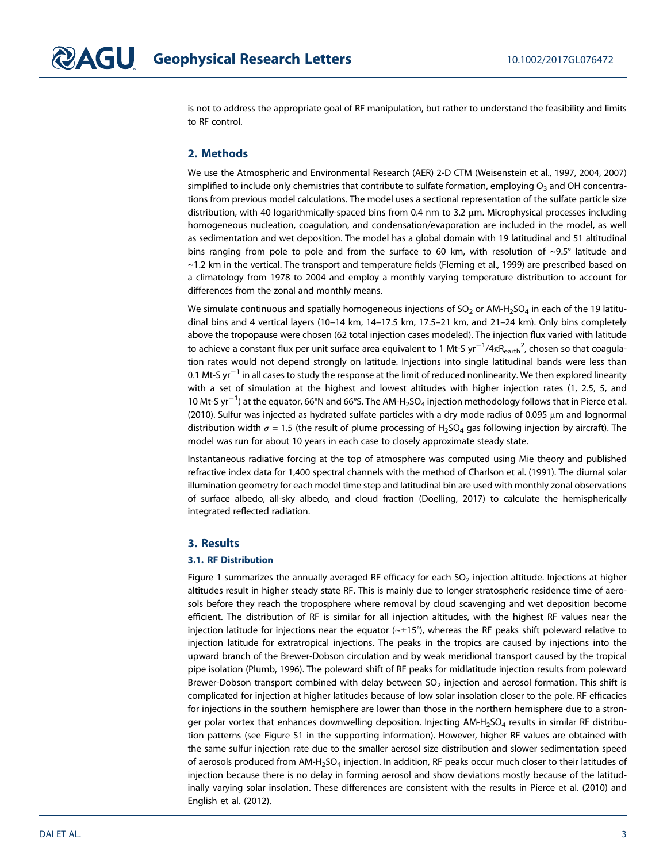is not to address the appropriate goal of RF manipulation, but rather to understand the feasibility and limits to RF control.

# 2. Methods

We use the Atmospheric and Environmental Research (AER) 2-D CTM (Weisenstein et al., 1997, 2004, 2007) simplified to include only chemistries that contribute to sulfate formation, employing  $O<sub>3</sub>$  and OH concentrations from previous model calculations. The model uses a sectional representation of the sulfate particle size distribution, with 40 logarithmically-spaced bins from 0.4 nm to 3.2 μm. Microphysical processes including homogeneous nucleation, coagulation, and condensation/evaporation are included in the model, as well as sedimentation and wet deposition. The model has a global domain with 19 latitudinal and 51 altitudinal bins ranging from pole to pole and from the surface to 60 km, with resolution of ~9.5° latitude and ~1.2 km in the vertical. The transport and temperature fields (Fleming et al., 1999) are prescribed based on a climatology from 1978 to 2004 and employ a monthly varying temperature distribution to account for differences from the zonal and monthly means.

We simulate continuous and spatially homogeneous injections of  $SO_2$  or AM-H<sub>2</sub>SO<sub>4</sub> in each of the 19 latitudinal bins and 4 vertical layers (10–14 km, 14–17.5 km, 17.5–21 km, and 21–24 km). Only bins completely above the tropopause were chosen (62 total injection cases modeled). The injection flux varied with latitude to achieve a constant flux per unit surface area equivalent to 1 Mt-S yr $^{-1}$ /4 $\pi$ R $_{\rm earth}^2$ , chosen so that coagulation rates would not depend strongly on latitude. Injections into single latitudinal bands were less than 0.1 Mt-S yr $^{-1}$  in all cases to study the response at the limit of reduced nonlinearity. We then explored linearity with a set of simulation at the highest and lowest altitudes with higher injection rates (1, 2.5, 5, and 10 Mt-S yr $^{-1}$ ) at the equator, 66°N and 66°S. The AM-H<sub>2</sub>SO<sub>4</sub> injection methodology follows that in Pierce et al. (2010). Sulfur was injected as hydrated sulfate particles with a dry mode radius of 0.095 μm and lognormal distribution width  $\sigma$  = 1.5 (the result of plume processing of H<sub>2</sub>SO<sub>4</sub> gas following injection by aircraft). The model was run for about 10 years in each case to closely approximate steady state.

Instantaneous radiative forcing at the top of atmosphere was computed using Mie theory and published refractive index data for 1,400 spectral channels with the method of Charlson et al. (1991). The diurnal solar illumination geometry for each model time step and latitudinal bin are used with monthly zonal observations of surface albedo, all-sky albedo, and cloud fraction (Doelling, 2017) to calculate the hemispherically integrated reflected radiation.

# 3. Results

### 3.1. RF Distribution

Figure 1 summarizes the annually averaged RF efficacy for each  $SO<sub>2</sub>$  injection altitude. Injections at higher altitudes result in higher steady state RF. This is mainly due to longer stratospheric residence time of aerosols before they reach the troposphere where removal by cloud scavenging and wet deposition become efficient. The distribution of RF is similar for all injection altitudes, with the highest RF values near the injection latitude for injections near the equator (~±15°), whereas the RF peaks shift poleward relative to injection latitude for extratropical injections. The peaks in the tropics are caused by injections into the upward branch of the Brewer-Dobson circulation and by weak meridional transport caused by the tropical pipe isolation (Plumb, 1996). The poleward shift of RF peaks for midlatitude injection results from poleward Brewer-Dobson transport combined with delay between  $SO<sub>2</sub>$  injection and aerosol formation. This shift is complicated for injection at higher latitudes because of low solar insolation closer to the pole. RF efficacies for injections in the southern hemisphere are lower than those in the northern hemisphere due to a stronger polar vortex that enhances downwelling deposition. Injecting AM-H<sub>2</sub>SO<sub>4</sub> results in similar RF distribution patterns (see Figure S1 in the supporting information). However, higher RF values are obtained with the same sulfur injection rate due to the smaller aerosol size distribution and slower sedimentation speed of aerosols produced from  $AM-H<sub>2</sub>SO<sub>4</sub>$  injection. In addition, RF peaks occur much closer to their latitudes of injection because there is no delay in forming aerosol and show deviations mostly because of the latitudinally varying solar insolation. These differences are consistent with the results in Pierce et al. (2010) and English et al. (2012).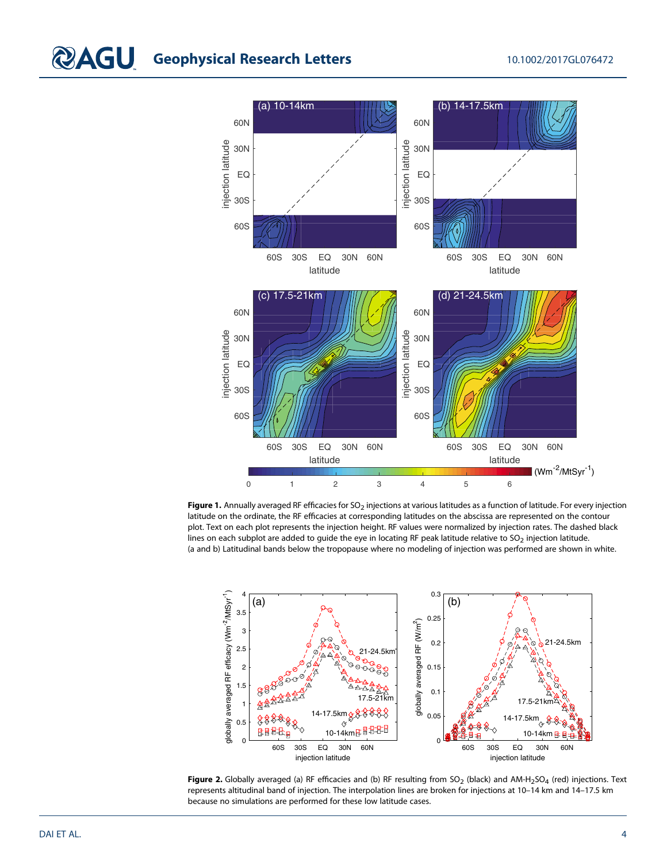

Figure 1. Annually averaged RF efficacies for SO<sub>2</sub> injections at various latitudes as a function of latitude. For every injection latitude on the ordinate, the RF efficacies at corresponding latitudes on the abscissa are represented on the contour plot. Text on each plot represents the injection height. RF values were normalized by injection rates. The dashed black lines on each subplot are added to guide the eye in locating RF peak latitude relative to  $SO_2$  injection latitude. (a and b) Latitudinal bands below the tropopause where no modeling of injection was performed are shown in white.



Figure 2. Globally averaged (a) RF efficacies and (b) RF resulting from  $SO_2$  (black) and AM-H<sub>2</sub>SO<sub>4</sub> (red) injections. Text represents altitudinal band of injection. The interpolation lines are broken for injections at 10–14 km and 14–17.5 km because no simulations are performed for these low latitude cases.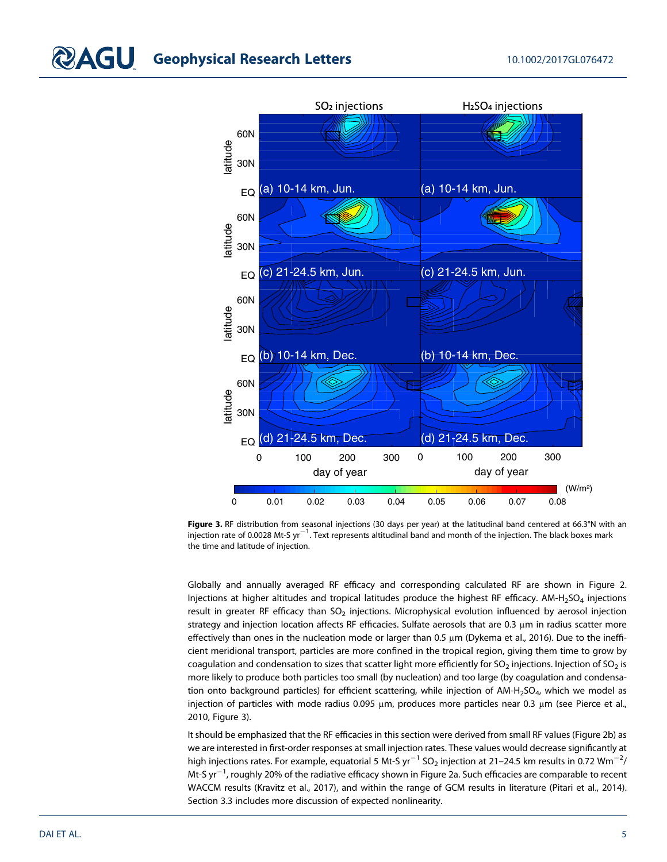

Figure 3. RF distribution from seasonal injections (30 days per year) at the latitudinal band centered at 66.3°N with an injection rate of 0.0028 Mt-S yr<sup>-1</sup>. Text represents altitudinal band and month of the injection. The black boxes mark the time and latitude of injection.

Globally and annually averaged RF efficacy and corresponding calculated RF are shown in Figure 2. Injections at higher altitudes and tropical latitudes produce the highest RF efficacy. AM-H<sub>2</sub>SO<sub>4</sub> injections result in greater RF efficacy than  $SO<sub>2</sub>$  injections. Microphysical evolution influenced by aerosol injection strategy and injection location affects RF efficacies. Sulfate aerosols that are 0.3 μm in radius scatter more effectively than ones in the nucleation mode or larger than 0.5 μm (Dykema et al., 2016). Due to the inefficient meridional transport, particles are more confined in the tropical region, giving them time to grow by coagulation and condensation to sizes that scatter light more efficiently for SO<sub>2</sub> injections. Injection of SO<sub>2</sub> is more likely to produce both particles too small (by nucleation) and too large (by coagulation and condensation onto background particles) for efficient scattering, while injection of AM-H<sub>2</sub>SO<sub>4</sub>, which we model as injection of particles with mode radius 0.095 μm, produces more particles near 0.3 μm (see Pierce et al., 2010, Figure 3).

It should be emphasized that the RF efficacies in this section were derived from small RF values (Figure 2b) as we are interested in first-order responses at small injection rates. These values would decrease significantly at high injections rates. For example, equatorial 5 Mt-S yr $^{-1}$  SO $_2$  injection at 21–24.5 km results in 0.72 Wm $^{-2}\prime$ Mt-S yr $^{-1}$ , roughly 20% of the radiative efficacy shown in Figure 2a. Such efficacies are comparable to recent WACCM results (Kravitz et al., 2017), and within the range of GCM results in literature (Pitari et al., 2014). Section 3.3 includes more discussion of expected nonlinearity.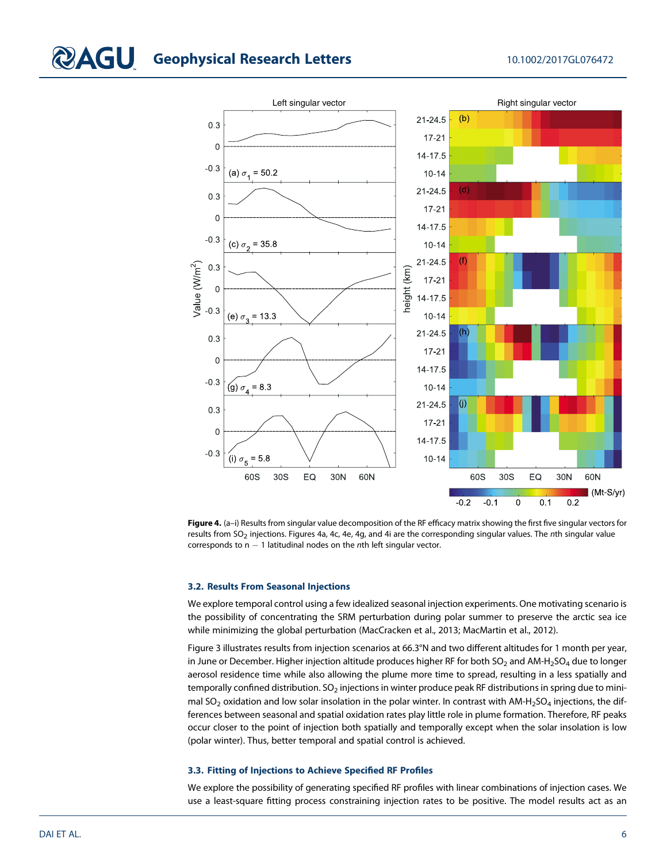

Figure 4. (a-i) Results from singular value decomposition of the RF efficacy matrix showing the first five singular vectors for results from  $SO_2$  injections. Figures 4a, 4c, 4e, 4g, and 4i are the corresponding singular values. The nth singular value corresponds to  $n - 1$  latitudinal nodes on the nth left singular vector.

### 3.2. Results From Seasonal Injections

We explore temporal control using a few idealized seasonal injection experiments. One motivating scenario is the possibility of concentrating the SRM perturbation during polar summer to preserve the arctic sea ice while minimizing the global perturbation (MacCracken et al., 2013; MacMartin et al., 2012).

Figure 3 illustrates results from injection scenarios at 66.3°N and two different altitudes for 1 month per year, in June or December. Higher injection altitude produces higher RF for both  $SO_2$  and AM-H<sub>2</sub>SO<sub>4</sub> due to longer aerosol residence time while also allowing the plume more time to spread, resulting in a less spatially and temporally confined distribution.  $SO_2$  injections in winter produce peak RF distributions in spring due to minimal SO<sub>2</sub> oxidation and low solar insolation in the polar winter. In contrast with AM-H<sub>2</sub>SO<sub>4</sub> injections, the differences between seasonal and spatial oxidation rates play little role in plume formation. Therefore, RF peaks occur closer to the point of injection both spatially and temporally except when the solar insolation is low (polar winter). Thus, better temporal and spatial control is achieved.

## 3.3. Fitting of Injections to Achieve Specified RF Profiles

We explore the possibility of generating specified RF profiles with linear combinations of injection cases. We use a least-square fitting process constraining injection rates to be positive. The model results act as an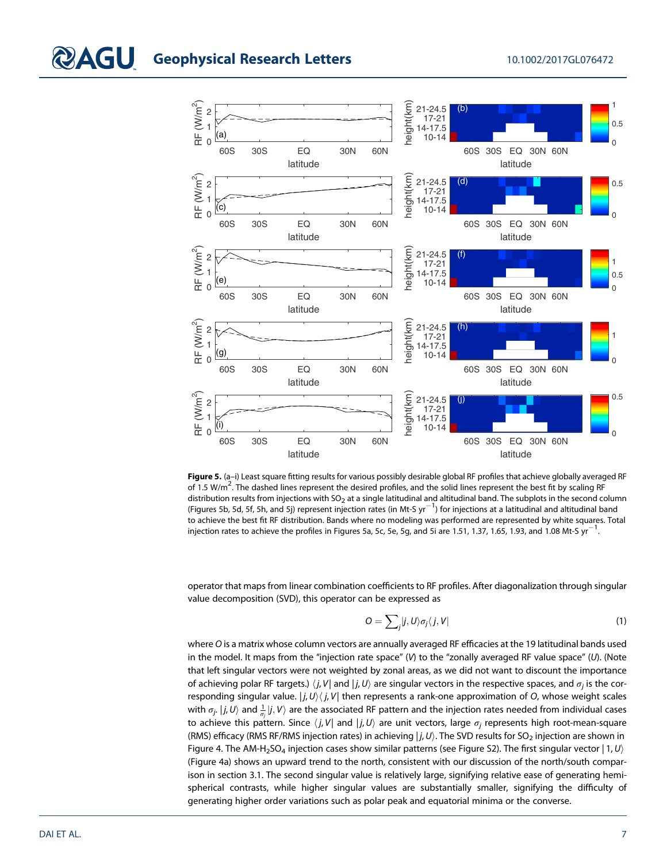

Figure 5. (a-i) Least square fitting results for various possibly desirable global RF profiles that achieve globally averaged RF of 1.5 W/m<sup>2</sup>. The dashed lines represent the desired profiles, and the solid lines represent the best fit by scaling RF distribution results from injections with  $SO_2$  at a single latitudinal and altitudinal band. The subplots in the second column (Figures 5b, 5d, 5f, 5h, and 5j) represent injection rates (in Mt-S yr<sup>-1</sup>) for injections at a latitudinal and altitudinal band to achieve the best fit RF distribution. Bands where no modeling was performed are represented by white squares. Total injection rates to achieve the profiles in Figures 5a, 5c, 5e, 5g, and 5i are 1.51, 1.37, 1.65, 1.93, and 1.08 Mt-S  $yr^{-1}$ . .

operator that maps from linear combination coefficients to RF profiles. After diagonalization through singular value decomposition (SVD), this operator can be expressed as

$$
O = \sum_{j} |j, U\rangle \sigma_j \langle j, V|
$$
 (1)

where O is a matrix whose column vectors are annually averaged RF efficacies at the 19 latitudinal bands used in the model. It maps from the "injection rate space" (V) to the "zonally averaged RF value space" (U). (Note that left singular vectors were not weighted by zonal areas, as we did not want to discount the importance of achieving polar RF targets.)  $\langle j, V|$  and  $|j, U\rangle$  are singular vectors in the respective spaces, and  $\sigma_i$  is the corresponding singular value.  $|j, U\rangle\langle j, V|$  then represents a rank-one approximation of O, whose weight scales with  $\sigma_j.$   $|j,U\rangle$  and  $\frac{1}{\sigma_j}|j,V\rangle$  are the associated RF pattern and the injection rates needed from individual cases to achieve this pattern. Since  $\langle j, V |$  and  $| j, U \rangle$  are unit vectors, large  $\sigma_i$  represents high root-mean-square (RMS) efficacy (RMS RF/RMS injection rates) in achieving  $|j, U\rangle$ . The SVD results for SO<sub>2</sub> injection are shown in Figure 4. The AM-H<sub>2</sub>SO<sub>4</sub> injection cases show similar patterns (see Figure S2). The first singular vector  $|1, U\rangle$ (Figure 4a) shows an upward trend to the north, consistent with our discussion of the north/south comparison in section 3.1. The second singular value is relatively large, signifying relative ease of generating hemispherical contrasts, while higher singular values are substantially smaller, signifying the difficulty of generating higher order variations such as polar peak and equatorial minima or the converse.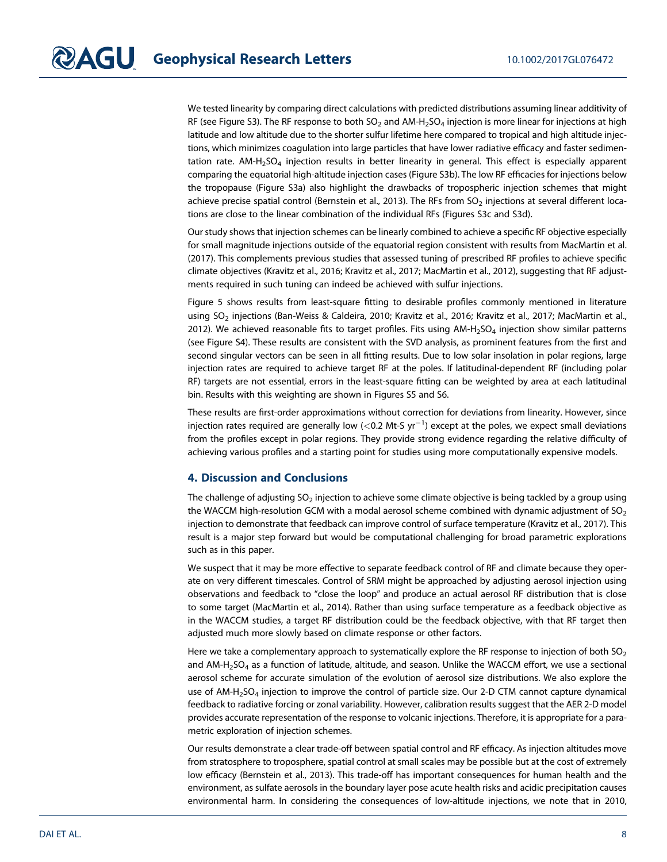We tested linearity by comparing direct calculations with predicted distributions assuming linear additivity of RF (see Figure S3). The RF response to both  $SO_2$  and AM-H<sub>2</sub>SO<sub>4</sub> injection is more linear for injections at high latitude and low altitude due to the shorter sulfur lifetime here compared to tropical and high altitude injections, which minimizes coagulation into large particles that have lower radiative efficacy and faster sedimentation rate.  $AM-H<sub>2</sub>SO<sub>4</sub>$  injection results in better linearity in general. This effect is especially apparent comparing the equatorial high-altitude injection cases (Figure S3b). The low RF efficacies for injections below the tropopause (Figure S3a) also highlight the drawbacks of tropospheric injection schemes that might achieve precise spatial control (Bernstein et al., 2013). The RFs from  $SO<sub>2</sub>$  injections at several different locations are close to the linear combination of the individual RFs (Figures S3c and S3d).

Our study shows that injection schemes can be linearly combined to achieve a specific RF objective especially for small magnitude injections outside of the equatorial region consistent with results from MacMartin et al. (2017). This complements previous studies that assessed tuning of prescribed RF profiles to achieve specific climate objectives (Kravitz et al., 2016; Kravitz et al., 2017; MacMartin et al., 2012), suggesting that RF adjustments required in such tuning can indeed be achieved with sulfur injections.

Figure 5 shows results from least-square fitting to desirable profiles commonly mentioned in literature using SO<sub>2</sub> injections (Ban-Weiss & Caldeira, 2010; Kravitz et al., 2016; Kravitz et al., 2017; MacMartin et al., 2012). We achieved reasonable fits to target profiles. Fits using AM-H<sub>2</sub>SO<sub>4</sub> injection show similar patterns (see Figure S4). These results are consistent with the SVD analysis, as prominent features from the first and second singular vectors can be seen in all fitting results. Due to low solar insolation in polar regions, large injection rates are required to achieve target RF at the poles. If latitudinal-dependent RF (including polar RF) targets are not essential, errors in the least-square fitting can be weighted by area at each latitudinal bin. Results with this weighting are shown in Figures S5 and S6.

These results are first-order approximations without correction for deviations from linearity. However, since injection rates required are generally low (<0.2 Mt-S yr<sup>-1</sup>) except at the poles, we expect small deviations from the profiles except in polar regions. They provide strong evidence regarding the relative difficulty of achieving various profiles and a starting point for studies using more computationally expensive models.

# 4. Discussion and Conclusions

The challenge of adjusting  $SO_2$  injection to achieve some climate objective is being tackled by a group using the WACCM high-resolution GCM with a modal aerosol scheme combined with dynamic adjustment of  $SO<sub>2</sub>$ injection to demonstrate that feedback can improve control of surface temperature (Kravitz et al., 2017). This result is a major step forward but would be computational challenging for broad parametric explorations such as in this paper.

We suspect that it may be more effective to separate feedback control of RF and climate because they operate on very different timescales. Control of SRM might be approached by adjusting aerosol injection using observations and feedback to "close the loop" and produce an actual aerosol RF distribution that is close to some target (MacMartin et al., 2014). Rather than using surface temperature as a feedback objective as in the WACCM studies, a target RF distribution could be the feedback objective, with that RF target then adjusted much more slowly based on climate response or other factors.

Here we take a complementary approach to systematically explore the RF response to injection of both  $SO_2$ and AM-H<sub>2</sub>SO<sub>4</sub> as a function of latitude, altitude, and season. Unlike the WACCM effort, we use a sectional aerosol scheme for accurate simulation of the evolution of aerosol size distributions. We also explore the use of  $AM-H<sub>2</sub>SO<sub>4</sub>$  injection to improve the control of particle size. Our 2-D CTM cannot capture dynamical feedback to radiative forcing or zonal variability. However, calibration results suggest that the AER 2-D model provides accurate representation of the response to volcanic injections. Therefore, it is appropriate for a parametric exploration of injection schemes.

Our results demonstrate a clear trade-off between spatial control and RF efficacy. As injection altitudes move from stratosphere to troposphere, spatial control at small scales may be possible but at the cost of extremely low efficacy (Bernstein et al., 2013). This trade-off has important consequences for human health and the environment, as sulfate aerosols in the boundary layer pose acute health risks and acidic precipitation causes environmental harm. In considering the consequences of low-altitude injections, we note that in 2010,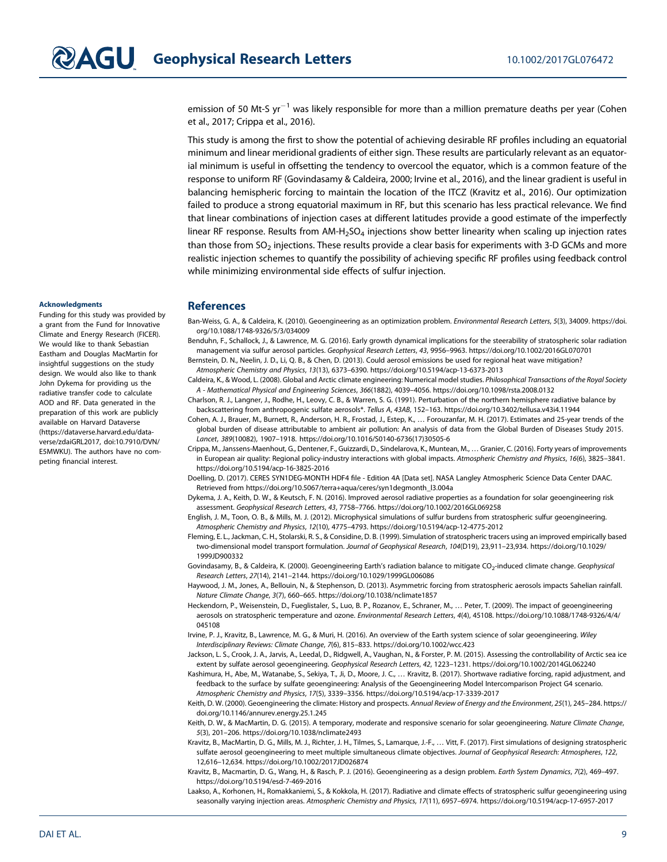emission of 50 Mt-S  $yr^{-1}$  was likely responsible for more than a million premature deaths per year (Cohen et al., 2017; Crippa et al., 2016).

This study is among the first to show the potential of achieving desirable RF profiles including an equatorial minimum and linear meridional gradients of either sign. These results are particularly relevant as an equatorial minimum is useful in offsetting the tendency to overcool the equator, which is a common feature of the response to uniform RF (Govindasamy & Caldeira, 2000; Irvine et al., 2016), and the linear gradient is useful in balancing hemispheric forcing to maintain the location of the ITCZ (Kravitz et al., 2016). Our optimization failed to produce a strong equatorial maximum in RF, but this scenario has less practical relevance. We find that linear combinations of injection cases at different latitudes provide a good estimate of the imperfectly linear RF response. Results from  $AM-H<sub>2</sub>SO<sub>4</sub>$  injections show better linearity when scaling up injection rates than those from  $SO<sub>2</sub>$  injections. These results provide a clear basis for experiments with 3-D GCMs and more realistic injection schemes to quantify the possibility of achieving specific RF profiles using feedback control while minimizing environmental side effects of sulfur injection.

#### Acknowledgments

Funding for this study was provided by a grant from the Fund for Innovative Climate and Energy Research (FICER). We would like to thank Sebastian Eastham and Douglas MacMartin for insightful suggestions on the study design. We would also like to thank John Dykema for providing us the radiative transfer code to calculate AOD and RF. Data generated in the preparation of this work are publicly available on Harvard Dataverse ([https://dataverse.harvard.edu/data](https://dataverse.harvard.edu/dataverse/zdaiGRL2017)[verse/zdaiGRL2017,](https://dataverse.harvard.edu/dataverse/zdaiGRL2017) doi:10.7910/DVN/ E5MWKU). The authors have no competing financial interest.

## **References**

- Ban-Weiss, G. A., & Caldeira, K. (2010). Geoengineering as an optimization problem. Environmental Research Letters, 5(3), 34009. [https://doi.](https://doi.org/10.1088/1748-9326/5/3/034009) [org/10.1088/1748-9326/5/3/034009](https://doi.org/10.1088/1748-9326/5/3/034009)
- Benduhn, F., Schallock, J., & Lawrence, M. G. (2016). Early growth dynamical implications for the steerability of stratospheric solar radiation management via sulfur aerosol particles. Geophysical Research Letters, 43, 9956–9963.<https://doi.org/10.1002/2016GL070701>
- Bernstein, D. N., Neelin, J. D., Li, Q. B., & Chen, D. (2013). Could aerosol emissions be used for regional heat wave mitigation? Atmospheric Chemistry and Physics, 13(13), 6373–6390.<https://doi.org/10.5194/acp-13-6373-2013>
- Caldeira, K., & Wood, L. (2008). Global and Arctic climate engineering: Numerical model studies. Philosophical Transactions of the Royal Society A - Mathematical Physical and Engineering Sciences, 366(1882), 4039–4056.<https://doi.org/10.1098/rsta.2008.0132>
- Charlson, R. J., Langner, J., Rodhe, H., Leovy, C. B., & Warren, S. G. (1991). Perturbation of the northern hemisphere radiative balance by backscattering from anthropogenic sulfate aerosols\*. Tellus A, 43AB, 152–163.<https://doi.org/10.3402/tellusa.v43i4.11944>
- Cohen, A. J., Brauer, M., Burnett, R., Anderson, H. R., Frostad, J., Estep, K., … Forouzanfar, M. H. (2017). Estimates and 25-year trends of the global burden of disease attributable to ambient air pollution: An analysis of data from the Global Burden of Diseases Study 2015. Lancet, 389(10082), 1907–1918. [https://doi.org/10.1016/S0140-6736\(17\)30505-6](https://doi.org/10.1016/S0140-6736(17)30505-6)
- Crippa, M., Janssens-Maenhout, G., Dentener, F., Guizzardi, D., Sindelarova, K., Muntean, M., … Granier, C. (2016). Forty years of improvements in European air quality: Regional policy-industry interactions with global impacts. Atmospheric Chemistry and Physics, 16(6), 3825–3841. <https://doi.org/10.5194/acp-16-3825-2016>
- Doelling, D. (2017). CERES SYN1DEG-MONTH HDF4 file Edition 4A [Data set]. NASA Langley Atmospheric Science Data Center DAAC. Retrieved from [https://doi.org/10.5067/terra+aqua/ceres/syn1degmonth\\_l3.004a](https://doi.org/10.5067/terra+aqua/ceres/syn1degmonth_l3.004a)
- Dykema, J. A., Keith, D. W., & Keutsch, F. N. (2016). Improved aerosol radiative properties as a foundation for solar geoengineering risk assessment. Geophysical Research Letters, 43, 7758–7766.<https://doi.org/10.1002/2016GL069258>
- English, J. M., Toon, O. B., & Mills, M. J. (2012). Microphysical simulations of sulfur burdens from stratospheric sulfur geoengineering. Atmospheric Chemistry and Physics, 12(10), 4775–4793.<https://doi.org/10.5194/acp-12-4775-2012>
- Fleming, E. L., Jackman, C. H., Stolarski, R. S., & Considine, D. B. (1999). Simulation of stratospheric tracers using an improved empirically based two-dimensional model transport formulation. Journal of Geophysical Research, 104(D19), 23,911–23,934. [https://doi.org/10.1029/](https://doi.org/10.1029/1999JD900332) [1999JD900332](https://doi.org/10.1029/1999JD900332)
- Govindasamy, B., & Caldeira, K. (2000). Geoengineering Earth's radiation balance to mitigate CO<sub>2</sub>-induced climate change. Geophysical Research Letters, 27(14), 2141–2144.<https://doi.org/10.1029/1999GL006086>
- Haywood, J. M., Jones, A., Bellouin, N., & Stephenson, D. (2013). Asymmetric forcing from stratospheric aerosols impacts Sahelian rainfall. Nature Climate Change, 3(7), 660–665.<https://doi.org/10.1038/nclimate1857>
- Heckendorn, P., Weisenstein, D., Fueglistaler, S., Luo, B. P., Rozanov, E., Schraner, M., … Peter, T. (2009). The impact of geoengineering aerosols on stratospheric temperature and ozone. Environmental Research Letters, 4(4), 45108. [https://doi.org/10.1088/1748-9326/4/4/](https://doi.org/10.1088/1748-9326/4/4/045108) [045108](https://doi.org/10.1088/1748-9326/4/4/045108)
- Irvine, P. J., Kravitz, B., Lawrence, M. G., & Muri, H. (2016). An overview of the Earth system science of solar geoengineering. Wiley Interdisciplinary Reviews: Climate Change, 7(6), 815–833.<https://doi.org/10.1002/wcc.423>

Jackson, L. S., Crook, J. A., Jarvis, A., Leedal, D., Ridgwell, A., Vaughan, N., & Forster, P. M. (2015). Assessing the controllability of Arctic sea ice extent by sulfate aerosol geoengineering. Geophysical Research Letters, 42, 1223–1231.<https://doi.org/10.1002/2014GL062240>

- Kashimura, H., Abe, M., Watanabe, S., Sekiya, T., Ji, D., Moore, J. C., … Kravitz, B. (2017). Shortwave radiative forcing, rapid adjustment, and feedback to the surface by sulfate geoengineering: Analysis of the Geoengineering Model Intercomparison Project G4 scenario. Atmospheric Chemistry and Physics, 17(5), 3339–3356.<https://doi.org/10.5194/acp-17-3339-2017>
- Keith, D. W. (2000). Geoengineering the climate: History and prospects. Annual Review of Energy and the Environment, 25(1), 245-284. [https://](https://doi.org/10.1146/annurev.energy.25.1.245) [doi.org/10.1146/annurev.energy.25.1.245](https://doi.org/10.1146/annurev.energy.25.1.245)
- Keith, D. W., & MacMartin, D. G. (2015). A temporary, moderate and responsive scenario for solar geoengineering. Nature Climate Change, 5(3), 201–206.<https://doi.org/10.1038/nclimate2493>
- Kravitz, B., MacMartin, D. G., Mills, M. J., Richter, J. H., Tilmes, S., Lamarque, J.-F., … Vitt, F. (2017). First simulations of designing stratospheric sulfate aerosol geoengineering to meet multiple simultaneous climate objectives. Journal of Geophysical Research: Atmospheres, 122, 12,616–12,634.<https://doi.org/10.1002/2017JD026874>
- Kravitz, B., Macmartin, D. G., Wang, H., & Rasch, P. J. (2016). Geoengineering as a design problem. Earth System Dynamics, 7(2), 469-497. <https://doi.org/10.5194/esd-7-469-2016>
- Laakso, A., Korhonen, H., Romakkaniemi, S., & Kokkola, H. (2017). Radiative and climate effects of stratospheric sulfur geoengineering using seasonally varying injection areas. Atmospheric Chemistry and Physics, 17(11), 6957–6974.<https://doi.org/10.5194/acp-17-6957-2017>